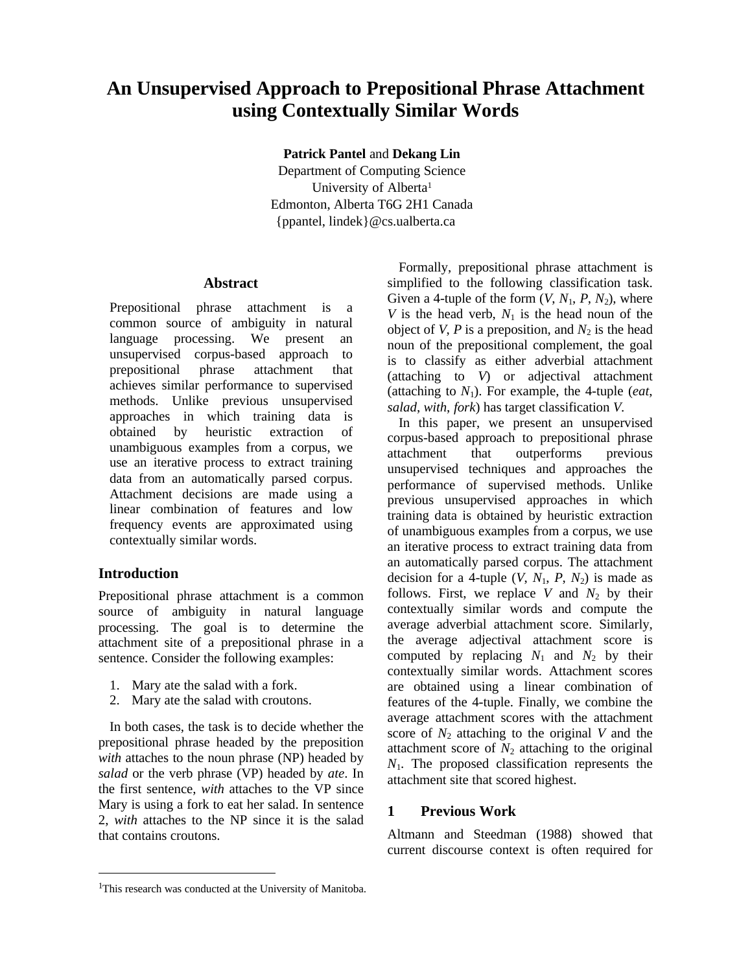# **An Unsupervised Approach to Prepositional Phrase Attachment using Contextually Similar Words**

**Patrick Pantel** and **Dekang Lin**

Department of Computing Science University of Alberta<sup>1</sup> Edmonton, Alberta T6G 2H1 Canada {ppantel, lindek}@cs.ualberta.ca

# **Abstract**

Prepositional phrase attachment is a common source of ambiguity in natural language processing. We present an unsupervised corpus-based approach to prepositional phrase attachment that achieves similar performance to supervised methods. Unlike previous unsupervised approaches in which training data is obtained by heuristic extraction of unambiguous examples from a corpus, we use an iterative process to extract training data from an automatically parsed corpus. Attachment decisions are made using a linear combination of features and low frequency events are approximated using contextually similar words.

# **Introduction**

-

Prepositional phrase attachment is a common source of ambiguity in natural language processing. The goal is to determine the attachment site of a prepositional phrase in a sentence. Consider the following examples:

- 1. Mary ate the salad with a fork.
- 2. Mary ate the salad with croutons.

In both cases, the task is to decide whether the prepositional phrase headed by the preposition *with* attaches to the noun phrase (NP) headed by *salad* or the verb phrase (VP) headed by *ate*. In the first sentence, *with* attaches to the VP since Mary is using a fork to eat her salad. In sentence 2, *with* attaches to the NP since it is the salad that contains croutons.

Formally, prepositional phrase attachment is simplified to the following classification task. Given a 4-tuple of the form  $(V, N_1, P, N_2)$ , where *V* is the head verb,  $N_1$  is the head noun of the object of *V*, *P* is a preposition, and  $N_2$  is the head noun of the prepositional complement, the goal is to classify as either adverbial attachment (attaching to *V*) or adjectival attachment (attaching to  $N_1$ ). For example, the 4-tuple (*eat*, *salad*, *with*, *fork*) has target classification *V*.

In this paper, we present an unsupervised corpus-based approach to prepositional phrase attachment that outperforms previous unsupervised techniques and approaches the performance of supervised methods. Unlike previous unsupervised approaches in which training data is obtained by heuristic extraction of unambiguous examples from a corpus, we use an iterative process to extract training data from an automatically parsed corpus. The attachment decision for a 4-tuple  $(V, N_1, P, N_2)$  is made as follows. First, we replace  $V$  and  $N_2$  by their contextually similar words and compute the average adverbial attachment score. Similarly, the average adjectival attachment score is computed by replacing  $N_1$  and  $N_2$  by their contextually similar words. Attachment scores are obtained using a linear combination of features of the 4-tuple. Finally, we combine the average attachment scores with the attachment score of  $N_2$  attaching to the original V and the attachment score of  $N_2$  attaching to the original *N*1. The proposed classification represents the attachment site that scored highest.

# **1 Previous Work**

Altmann and Steedman (1988) showed that current discourse context is often required for

<sup>&</sup>lt;sup>1</sup>This research was conducted at the University of Manitoba.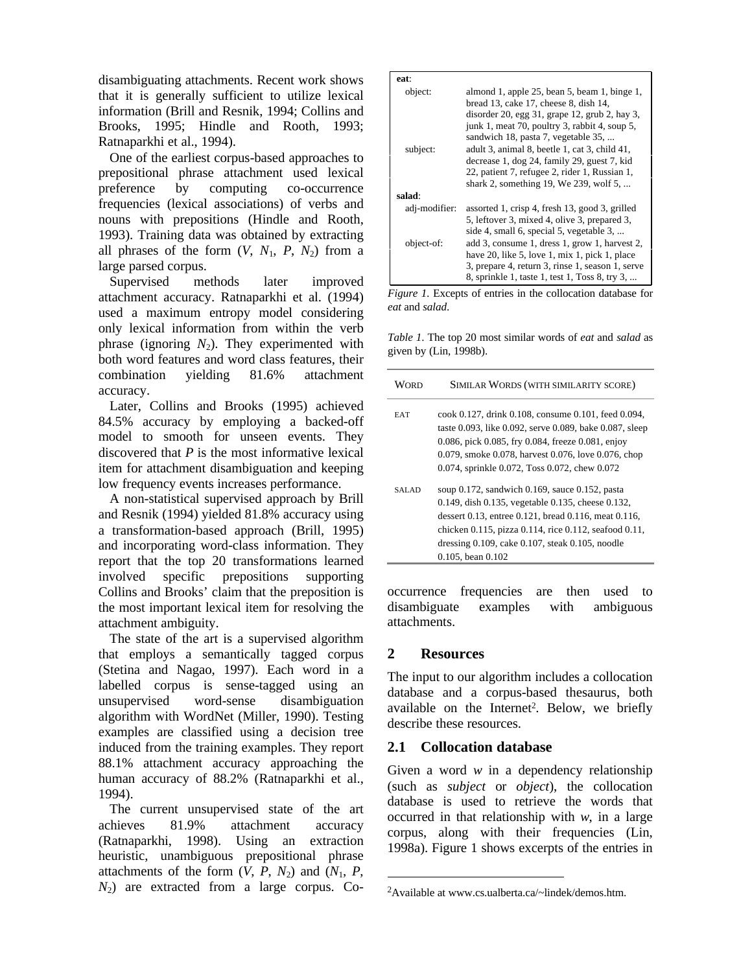disambiguating attachments. Recent work shows that it is generally sufficient to utilize lexical information (Brill and Resnik, 1994; Collins and Brooks, 1995; Hindle and Rooth, 1993; Ratnaparkhi et al., 1994).

One of the earliest corpus-based approaches to prepositional phrase attachment used lexical preference by computing co-occurrence frequencies (lexical associations) of verbs and nouns with prepositions (Hindle and Rooth, 1993). Training data was obtained by extracting all phrases of the form  $(V, N_1, P, N_2)$  from a large parsed corpus.

Supervised methods later improved attachment accuracy. Ratnaparkhi et al. (1994) used a maximum entropy model considering only lexical information from within the verb phrase (ignoring  $N_2$ ). They experimented with both word features and word class features, their combination yielding 81.6% attachment accuracy.

Later, Collins and Brooks (1995) achieved 84.5% accuracy by employing a backed-off model to smooth for unseen events. They discovered that *P* is the most informative lexical item for attachment disambiguation and keeping low frequency events increases performance.

A non-statistical supervised approach by Brill and Resnik (1994) yielded 81.8% accuracy using a transformation-based approach (Brill, 1995) and incorporating word-class information. They report that the top 20 transformations learned involved specific prepositions supporting Collins and Brooks' claim that the preposition is the most important lexical item for resolving the attachment ambiguity.

The state of the art is a supervised algorithm that employs a semantically tagged corpus (Stetina and Nagao, 1997). Each word in a labelled corpus is sense-tagged using an unsupervised word-sense disambiguation algorithm with WordNet (Miller, 1990). Testing examples are classified using a decision tree induced from the training examples. They report 88.1% attachment accuracy approaching the human accuracy of 88.2% (Ratnaparkhi et al., 1994).

The current unsupervised state of the art achieves 81.9% attachment accuracy (Ratnaparkhi, 1998). Using an extraction heuristic, unambiguous prepositional phrase attachments of the form  $(V, P, N_2)$  and  $(N_1, P, N_3)$ *N*2) are extracted from a large corpus. Co-

| eat:          |                                                                                                                                                                                                                                |
|---------------|--------------------------------------------------------------------------------------------------------------------------------------------------------------------------------------------------------------------------------|
| object:       | almond 1, apple 25, bean 5, beam 1, binge 1,<br>bread 13, cake 17, cheese 8, dish 14,<br>disorder 20, egg $31$ , grape 12, grub 2, hay 3,<br>junk 1, meat 70, poultry 3, rabbit 4, soup 5,                                     |
| subject:      | sandwich 18, pasta 7, vegetable 35,<br>adult 3, animal 8, beetle 1, cat 3, child 41,<br>decrease 1, dog 24, family 29, guest 7, kid<br>22, patient 7, refugee 2, rider 1, Russian 1,<br>shark 2, something 19, We 239, wolf 5, |
| salad:        |                                                                                                                                                                                                                                |
| adj-modifier: | assorted 1, crisp 4, fresh 13, good 3, grilled<br>5, leftover 3, mixed 4, olive 3, prepared 3,<br>side 4, small 6, special 5, vegetable 3,                                                                                     |
| object-of:    | add 3, consume 1, dress 1, grow 1, harvest 2,<br>have 20, like 5, love 1, mix 1, pick 1, place<br>3, prepare 4, return 3, rinse 1, season 1, serve<br>8, sprinkle 1, taste 1, test 1, Toss 8, try 3,                           |

*Figure 1.* Excepts of entries in the collocation database for *eat* and *salad*.

*Table 1*. The top 20 most similar words of *eat* and *salad* as given by (Lin, 1998b).

| Word       | SIMILAR WORDS (WITH SIMILARITY SCORE)                                                                                                                                                                                                                                                                               |
|------------|---------------------------------------------------------------------------------------------------------------------------------------------------------------------------------------------------------------------------------------------------------------------------------------------------------------------|
| <b>EAT</b> | cook 0.127, drink 0.108, consume 0.101, feed 0.094,<br>taste 0.093, like 0.092, serve 0.089, bake 0.087, sleep<br>0.086, pick 0.085, fry 0.084, freeze 0.081, enjoy<br>0.079, smoke 0.078, harvest 0.076, love 0.076, chop<br>0.074, sprinkle 0.072, Toss 0.072, chew 0.072                                         |
| SALAD      | soup $0.172$ , sandwich $0.169$ , sauce $0.152$ , pasta<br>0.149, dish 0.135, vegetable 0.135, cheese 0.132,<br>dessert 0.13, entree 0.121, bread 0.116, meat 0.116,<br>chicken 0.115, pizza 0.114, rice 0.112, seafood 0.11,<br>dressing $0.109$ , cake $0.107$ , steak $0.105$ , noodle<br>$0.105$ , bean $0.102$ |

occurrence frequencies are then used to disambiguate examples with ambiguous attachments.

# **2 Resources**

 $\overline{a}$ 

The input to our algorithm includes a collocation database and a corpus-based thesaurus, both available on the Internet<sup>2</sup>. Below, we briefly describe these resources.

# **2.1 Collocation database**

Given a word *w* in a dependency relationship (such as *subject* or *object*), the collocation database is used to retrieve the words that occurred in that relationship with *w*, in a large corpus, along with their frequencies (Lin, 1998a). Figure 1 shows excerpts of the entries in

<sup>&</sup>lt;sup>2</sup>Available at www.cs.ualberta.ca/~lindek/demos.htm.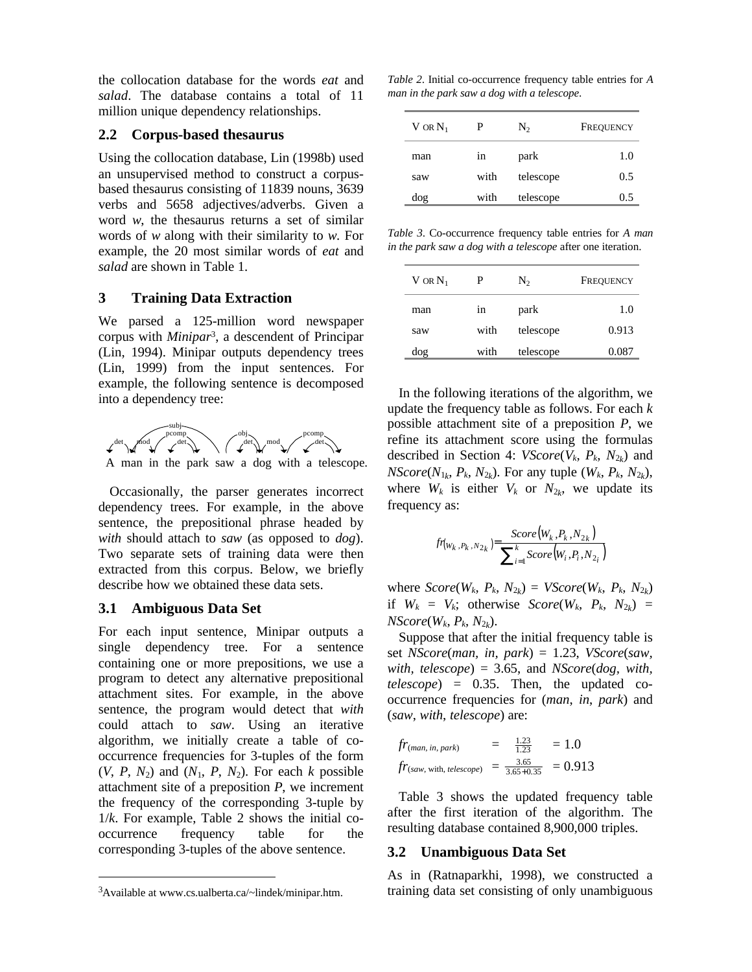the collocation database for the words *eat* and *salad*. The database contains a total of 11 million unique dependency relationships.

#### **2.2 Corpus-based thesaurus**

Using the collocation database, Lin (1998b) used an unsupervised method to construct a corpusbased thesaurus consisting of 11839 nouns, 3639 verbs and 5658 adjectives/adverbs. Given a word *w*, the thesaurus returns a set of similar words of *w* along with their similarity to *w*. For example, the 20 most similar words of *eat* and *salad* are shown in Table 1.

### **3 Training Data Extraction**

We parsed a 125-million word newspaper corpus with *Minipar*<sup>3</sup> , a descendent of Principar (Lin, 1994). Minipar outputs dependency trees (Lin, 1999) from the input sentences. For example, the following sentence is decomposed into a dependency tree:



Occasionally, the parser generates incorrect dependency trees. For example, in the above sentence, the prepositional phrase headed by *with* should attach to *saw* (as opposed to *dog*). Two separate sets of training data were then extracted from this corpus. Below, we briefly describe how we obtained these data sets.

#### **3.1 Ambiguous Data Set**

For each input sentence, Minipar outputs a single dependency tree. For a sentence containing one or more prepositions, we use a program to detect any alternative prepositional attachment sites. For example, in the above sentence, the program would detect that *with* could attach to *saw*. Using an iterative algorithm, we initially create a table of cooccurrence frequencies for 3-tuples of the form  $(V, P, N_2)$  and  $(N_1, P, N_2)$ . For each *k* possible attachment site of a preposition *P*, we increment the frequency of the corresponding 3-tuple by 1/*k*. For example, Table 2 shows the initial cooccurrence frequency table for the corresponding 3-tuples of the above sentence.

<u>.</u>

*Table 2*. Initial co-occurrence frequency table entries for *A man in the park saw a dog with a telescope*.

| V or $\mathrm{N}_1$ | Р    | $N_2$     | FREQUENCY |
|---------------------|------|-----------|-----------|
| man                 | 1n   | park      | 1.0       |
| saw                 | with | telescope | 0.5       |
| dog                 | with | telescope | 0.5       |

*Table 3*. Co-occurrence frequency table entries for *A man in the park saw a dog with a telescope* after one iteration.

| $V$ or $N_1$ | Р    | $N_2$     | FREQUENCY |
|--------------|------|-----------|-----------|
| man          | 1n   | park      | 1.0       |
| saw          | with | telescope | 0.913     |
| dog          | with | telescope | 0.087     |
|              |      |           |           |

In the following iterations of the algorithm, we update the frequency table as follows. For each *k* possible attachment site of a preposition *P*, we refine its attachment score using the formulas described in Section 4:  $VScore(V_k, P_k, N_{2k})$  and *NScore*( $N_{1k}$ ,  $P_k$ ,  $N_{2k}$ ). For any tuple ( $W_k$ ,  $P_k$ ,  $N_{2k}$ ), where  $W_k$  is either  $V_k$  or  $N_{2k}$ , we update its frequency as:

$$
f_{\mathcal{V}(W_k, P_k, N_{2_k})} = \frac{Score(W_k, P_k, N_{2_k})}{\sum_{i=1}^{k}Score(W_i, P_i, N_{2_i})}
$$

where  $Score(W_k, P_k, N_{2k}) = VScore(W_k, P_k, N_{2k})$ if  $W_k = V_k$ ; otherwise  $Score(W_k, P_k, N_{2k})$  = *NScore*(*Wk*, *Pk*, *N*<sup>2</sup>*<sup>k</sup>* ).

Suppose that after the initial frequency table is set *NScore*(*man, in, park*) = 1.23, *VScore*(*saw, with, telescope*) = 3.65, and *NScore*(*dog, with, telescope*) = 0.35. Then, the updated cooccurrence frequencies for (*man*, *in*, *park*) and (*saw*, *with*, *telescope*) are:

$$
fr_{(man, in, park)} = \frac{1.23}{1.23} = 1.0
$$
  

$$
fr_{(saw, with, telescope)} = \frac{3.65}{3.65 + 0.35} = 0.913
$$

Table 3 shows the updated frequency table after the first iteration of the algorithm. The resulting database contained 8,900,000 triples.

#### **3.2 Unambiguous Data Set**

As in (Ratnaparkhi, 1998), we constructed a training data set consisting of only unambiguous

<sup>3</sup>Available at www.cs.ualberta.ca/~lindek/minipar.htm.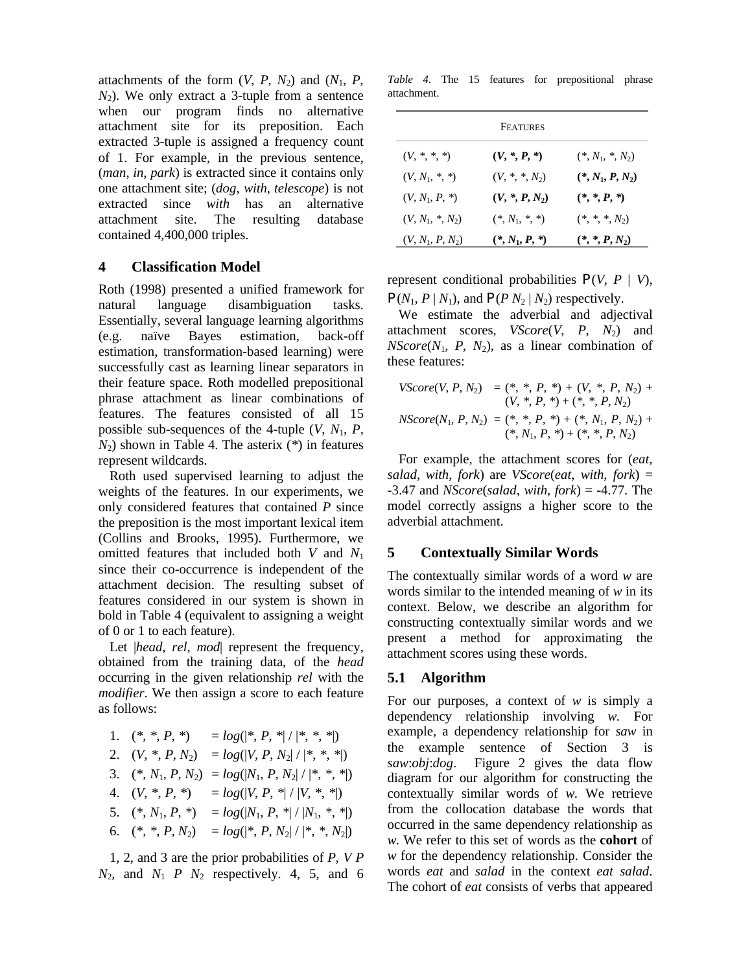attachments of the form  $(V, P, N_2)$  and  $(N_1, P, N_3)$  $N_2$ ). We only extract a 3-tuple from a sentence when our program finds no alternative attachment site for its preposition. Each extracted 3-tuple is assigned a frequency count of 1. For example, in the previous sentence, (*man*, *in*, *park*) is extracted since it contains only one attachment site; (*dog*, *with*, *telescope*) is not extracted since *with* has an alternative attachment site. The resulting database contained 4,400,000 triples.

#### **4 Classification Model**

Roth (1998) presented a unified framework for natural language disambiguation tasks. Essentially, several language learning algorithms (e.g. naïve Bayes estimation, back-off estimation, transformation-based learning) were successfully cast as learning linear separators in their feature space. Roth modelled prepositional phrase attachment as linear combinations of features. The features consisted of all 15 possible sub-sequences of the 4-tuple  $(V, N_1, P)$ , *N*2) shown in Table 4. The asterix (*\**) in features represent wildcards.

Roth used supervised learning to adjust the weights of the features. In our experiments, we only considered features that contained *P* since the preposition is the most important lexical item (Collins and Brooks, 1995). Furthermore, we omitted features that included both *V* and *N*<sup>1</sup> since their co-occurrence is independent of the attachment decision. The resulting subset of features considered in our system is shown in bold in Table 4 (equivalent to assigning a weight of 0 or 1 to each feature).

Let *|head, rel, mod|* represent the frequency, obtained from the training data, of the *head* occurring in the given relationship *rel* with the *modifier*. We then assign a score to each feature as follows:

| 1. $(*, *, P, *)$     | $= log( *, P, *  /  *, *, * )$     |
|-----------------------|------------------------------------|
| 2. $(V, *, P, N_2)$   | $= log( V, P, N_2  /  *, *, * )$   |
| 3. $(*, N_1, P, N_2)$ | $= log( N_1, P, N_2  /  *, *, * )$ |
| 4. $(V, *, P, *)$     | $= log( V, P, *  /  V, *, * )$     |
| 5. $(*, N_1, P, *)$   | $= log(N_1, P, *   /  N_1, *, * )$ |
| 6. $(*, *, P, N_2)$   | $= log( *, P, N_2  /  *, *, N_2 )$ |

1, 2, and 3 are the prior probabilities of *P*, *V P*  $N_2$ , and  $N_1$  *P*  $N_2$  respectively. 4, 5, and 6

*Table 4*. The 15 features for prepositional phrase attachment.

|                    | FEATURES         |                    |
|--------------------|------------------|--------------------|
| $(V, *, *, *)$     | $(V,*,P,*)$      | $(*, N_1, *, N_2)$ |
| $(V, N_1, *, *)$   | $(V, *, *, N_2)$ | $(*, N_1, P, N_2)$ |
| $(V, N_1, P, *)$   | $(V,*,P,N_2)$    | $(*,*,P,*)$        |
| $(V, N_1, *, N_2)$ | $(*, N_1, *, *)$ | $(*,*,*,N_2)$      |
| $(V, N_1, P, N_2)$ | $(*, N_1, P, *)$ | $(*,*,P,N_2)$      |

represent conditional probabilities  $P(V, P | V)$ ,  $P(N_1, P \mid N_1)$ , and  $P(P \mid N_2 \mid N_2)$  respectively.

We estimate the adverbial and adjectival attachment scores, *VScore*(*V*, *P*, *N*2) and  $NScore(N_1, P, N_2)$ , as a linear combination of these features:

$$
VScore(V, P, N_2) = (*, *, P, *) + (V, *, P, N_2) +(V, *, P, *) + (*, *, P, N_2)
$$
  

$$
NScore(N_1, P, N_2) = (*, *, P, *) + (*, N_1, P, N_2) +
$$

For example, the attachment scores for (*eat*, *salad*, *with*, *fork*) are *VScore*(*eat*, *with*, *fork*) = -3.47 and *NScore*(*salad*, *with*, *fork*) = -4.77. The model correctly assigns a higher score to the adverbial attachment.

# **5 Contextually Similar Words**

The contextually similar words of a word *w* are words similar to the intended meaning of *w* in its context. Below, we describe an algorithm for constructing contextually similar words and we present a method for approximating the attachment scores using these words.

#### **5.1 Algorithm**

For our purposes, a context of *w* is simply a dependency relationship involving *w*. For example, a dependency relationship for *saw* in the example sentence of Section 3 is *saw*:*obj*:*dog*. Figure 2 gives the data flow diagram for our algorithm for constructing the contextually similar words of *w*. We retrieve from the collocation database the words that occurred in the same dependency relationship as *w*. We refer to this set of words as the **cohort** of *w* for the dependency relationship. Consider the words *eat* and *salad* in the context *eat salad*. The cohort of *eat* consists of verbs that appeared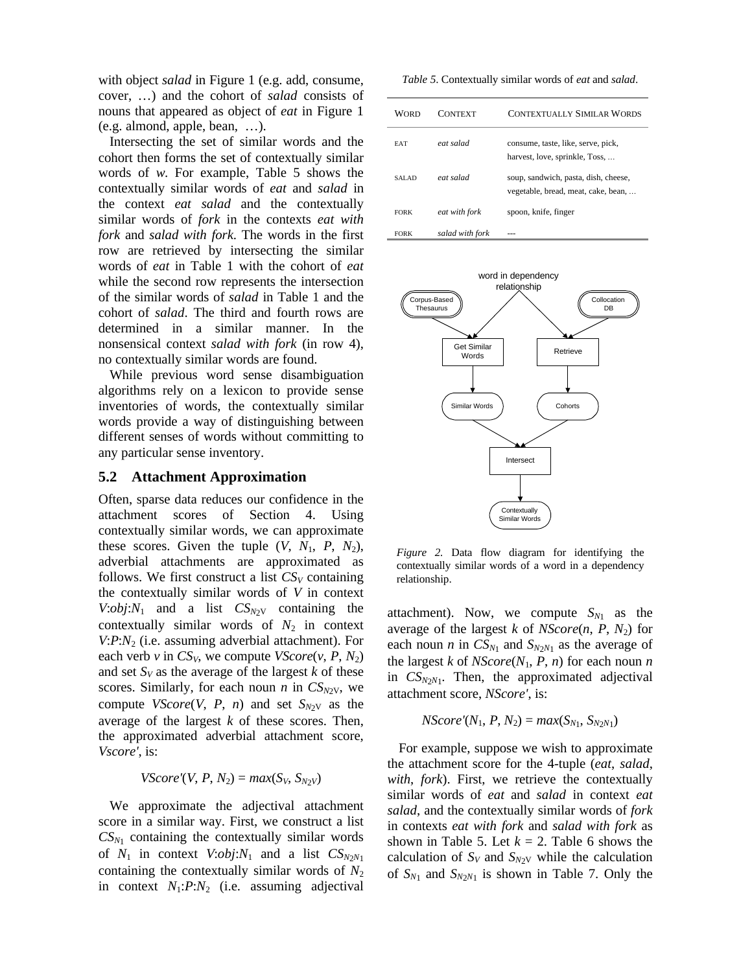with object *salad* in Figure 1 (e.g. add, consume, cover, …) and the cohort of *salad* consists of nouns that appeared as object of *eat* in Figure 1 (e.g. almond, apple, bean, …).

Intersecting the set of similar words and the cohort then forms the set of contextually similar words of *w*. For example, Table 5 shows the contextually similar words of *eat* and *salad* in the context *eat salad* and the contextually similar words of *fork* in the contexts *eat with fork* and *salad with fork*. The words in the first row are retrieved by intersecting the similar words of *eat* in Table 1 with the cohort of *eat* while the second row represents the intersection of the similar words of *salad* in Table 1 and the cohort of *salad*. The third and fourth rows are determined in a similar manner. In the nonsensical context *salad with fork* (in row 4), no contextually similar words are found.

While previous word sense disambiguation algorithms rely on a lexicon to provide sense inventories of words, the contextually similar words provide a way of distinguishing between different senses of words without committing to any particular sense inventory.

#### **5.2 Attachment Approximation**

Often, sparse data reduces our confidence in the attachment scores of Section 4. Using contextually similar words, we can approximate these scores. Given the tuple  $(V, N_1, P, N_2)$ , adverbial attachments are approximated as follows. We first construct a list  $CS_V$  containing the contextually similar words of *V* in context *V*: $obj:N_1$  and a list  $CS_{N_2V}$  containing the contextually similar words of  $N_2$  in context *V*:*P*:*N*2 (i.e. assuming adverbial attachment). For each verb *v* in  $CS_V$ , we compute  $VScore(v, P, N_2)$ and set  $S_V$  as the average of the largest  $k$  of these scores. Similarly, for each noun *n* in  $CS_{N2V}$ , we compute *VScore*(*V*, *P*, *n*) and set  $S_{N2V}$  as the average of the largest *k* of these scores. Then, the approximated adverbial attachment score, *Vscore'*, is:

*VScore*'(*V*, *P*,  $N_2$ ) =  $max(S_V, S_{N2V})$ 

We approximate the adjectival attachment score in a similar way. First, we construct a list  $CS_{N_1}$  containing the contextually similar words of  $N_1$  in context  $V:obj:N_1$  and a list  $CS_{N2N_1}$ containing the contextually similar words of  $N_2$ in context  $N_1$ : $P$ : $N_2$  (i.e. assuming adjectival

*Table 5*. Contextually similar words of *eat* and *salad*.

| WORD        | <b>CONTEXT</b>  | <b>CONTEXTUALLY SIMILAR WORDS</b>                                           |
|-------------|-----------------|-----------------------------------------------------------------------------|
| <b>EAT</b>  | eat salad       | consume, taste, like, serve, pick,<br>harvest, love, sprinkle, Toss,        |
| SALAD       | eat salad       | soup, sandwich, pasta, dish, cheese,<br>vegetable, bread, meat, cake, bean, |
| <b>FORK</b> | eat with fork   | spoon, knife, finger                                                        |
| <b>FORK</b> | salad with fork |                                                                             |



*Figure 2.* Data flow diagram for identifying the contextually similar words of a word in a dependency relationship.

attachment). Now, we compute  $S_{N_1}$  as the average of the largest *k* of *NScore*( $n$ ,  $P$ ,  $N_2$ ) for each noun *n* in  $CS_{N_1}$  and  $S_{N_2N_1}$  as the average of the largest  $k$  of  $NScore(N_1, P, n)$  for each noun  $n$ in *CS<sup>N</sup>*2*N*<sup>1</sup> . Then, the approximated adjectival attachment score, *NScore'*, is:

$$
NScore'(N_1, P, N_2) = max(S_{N_1}, S_{N_2N_1})
$$

For example, suppose we wish to approximate the attachment score for the 4-tuple (*eat*, *salad*, *with*, *fork*). First, we retrieve the contextually similar words of *eat* and *salad* in context *eat salad*, and the contextually similar words of *fork* in contexts *eat with fork* and *salad with fork* as shown in Table 5. Let  $k = 2$ . Table 6 shows the calculation of  $S_V$  and  $S_{N2V}$  while the calculation of  $S_{N1}$  and  $S_{N2N1}$  is shown in Table 7. Only the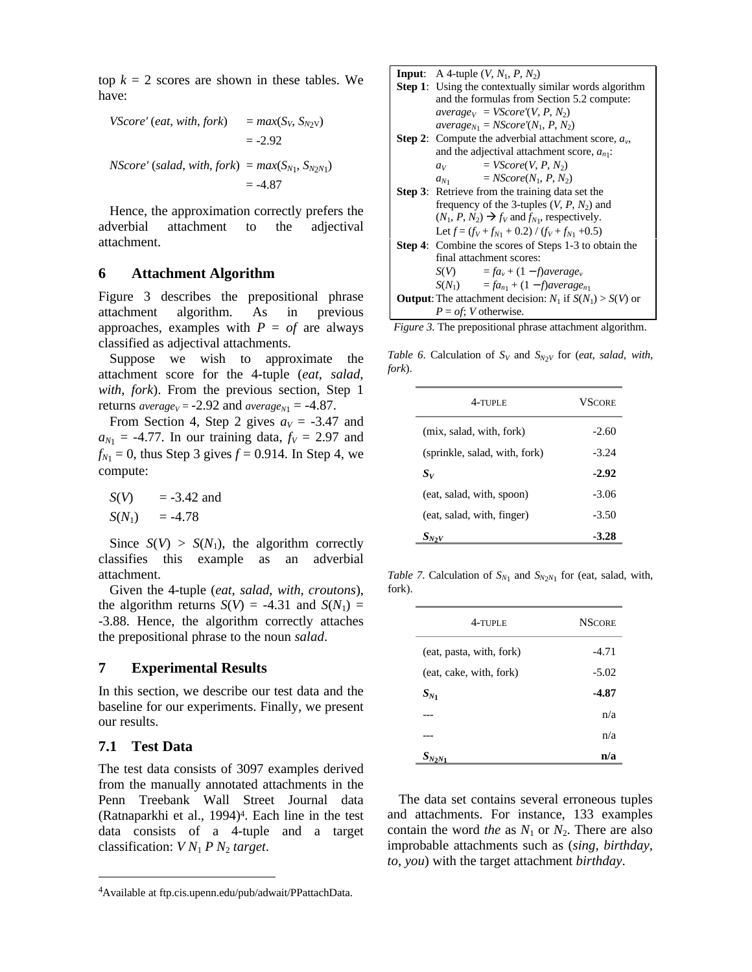top  $k = 2$  scores are shown in these tables. We have:

*VScore'* (*eat*, *with*, *fork*) = *max*(*SV*, *S<sup>N</sup>*2<sup>V</sup>) = -2.92 *NScore'* (*salad*, *with*, *fork*) = *max*(*S<sup>N</sup>*<sup>1</sup> , *S<sup>N</sup>*2*N*<sup>1</sup> )

 $= -4.87$ Hence, the approximation correctly prefers the adverbial attachment to the adjectival

attachment.

# **6 Attachment Algorithm**

Figure 3 describes the prepositional phrase attachment algorithm. As in previous approaches, examples with  $P = of$  are always classified as adjectival attachments.

Suppose we wish to approximate the attachment score for the 4-tuple (*eat*, *salad*, *with*, *fork*). From the previous section, Step 1 returns  $average_V = -2.92$  and  $average_{N_1} = -4.87$ .

From Section 4, Step 2 gives  $a_V = -3.47$  and  $a_{N_1}$  = -4.77. In our training data,  $f_V$  = 2.97 and  $f_{N_1} = 0$ , thus Step 3 gives  $f = 0.914$ . In Step 4, we compute:

 $S(V) = -3.42$  and  $S(N_1) = -4.78$ 

Since  $S(V) > S(N_1)$ , the algorithm correctly classifies this example as an adverbial attachment.

Given the 4-tuple (*eat*, *salad*, *with*, *croutons*), the algorithm returns  $S(V) = -4.31$  and  $S(N_1) =$ -3.88. Hence, the algorithm correctly attaches the prepositional phrase to the noun *salad*.

#### **7 Experimental Results**

In this section, we describe our test data and the baseline for our experiments. Finally, we present our results.

#### **7.1 Test Data**

<u>.</u>

The test data consists of 3097 examples derived from the manually annotated attachments in the Penn Treebank Wall Street Journal data (Ratnaparkhi et al., 1994)<sup>4</sup> . Each line in the test data consists of a 4-tuple and a target classification: *V N*<sup>1</sup> *P N*<sup>2</sup> *target*.

| <b>Input:</b> A 4-tuple $(V, N_1, P, N_2)$                          |  |  |
|---------------------------------------------------------------------|--|--|
| <b>Step 1:</b> Using the contextually similar words algorithm       |  |  |
| and the formulas from Section 5.2 compute:                          |  |  |
| $average_V = VScore'(V, P, N_2)$                                    |  |  |
| $average_{N_1} = NScore'(N_1, P, N_2)$                              |  |  |
| <b>Step 2:</b> Compute the adverbial attachment score, $a_v$ ,      |  |  |
| and the adjectival attachment score, $a_{n1}$ .                     |  |  |
| $= VScore(V, P, N_2)$<br>$a_V$                                      |  |  |
| $= NScore(N_1, P, N_2)$<br>$a_{N_1}$                                |  |  |
| <b>Step 3:</b> Retrieve from the training data set the              |  |  |
| frequency of the 3-tuples $(V, P, N_2)$ and                         |  |  |
| $(N_1, P, N_2) \rightarrow f_V$ and $f_{N_1}$ , respectively.       |  |  |
| Let $f = (f_V + f_{N1} + 0.2) / (f_V + f_{N1} + 0.5)$               |  |  |
| Step 4: Combine the scores of Steps 1-3 to obtain the               |  |  |
| final attachment scores:                                            |  |  |
| $S(V) = fa_v + (1 - f) \text{average}_v$                            |  |  |
| $S(N_1) = fa_{n_1} + (1 - f) \text{average}_{n_1}$                  |  |  |
| <b>Output:</b> The attachment decision: $N_1$ if $S(N_1) > S(V)$ or |  |  |
| $P = \text{of}$ ; V otherwise.                                      |  |  |

*Figure 3.* The prepositional phrase attachment algorithm.

*Table 6.* Calculation of  $S_V$  and  $S_{N2V}$  for (*eat*, *salad*, *with*, *fork*).

| $4$ -tiple                    | <b>VSCORE</b> |
|-------------------------------|---------------|
| (mix, salad, with, fork)      | $-2.60$       |
| (sprinkle, salad, with, fork) | $-3.24$       |
| $S_{V}$                       | $-2.92$       |
| (eat, salad, with, spoon)     | $-3.06$       |
| (eat, salad, with, finger)    | $-3.50$       |
| $S_{N2V}$                     | $-3.28$       |

*Table 7*. Calculation of  $S_{N_1}$  and  $S_{N_2N_1}$  for (eat, salad, with, fork).

| 4-TUPLE                  | <b>NSCORE</b> |
|--------------------------|---------------|
| (eat, pasta, with, fork) | $-4.71$       |
| (eat, cake, with, fork)  | $-5.02$       |
| $S_{N_1}$                | $-4.87$       |
|                          | n/a           |
|                          | n/a           |
|                          | n/a           |

The data set contains several erroneous tuples and attachments. For instance, 133 examples contain the word *the* as  $N_1$  or  $N_2$ . There are also improbable attachments such as (*sing*, *birthday*, *to*, *you*) with the target attachment *birthday*.

<sup>4</sup>Available at ftp.cis.upenn.edu/pub/adwait/PPattachData.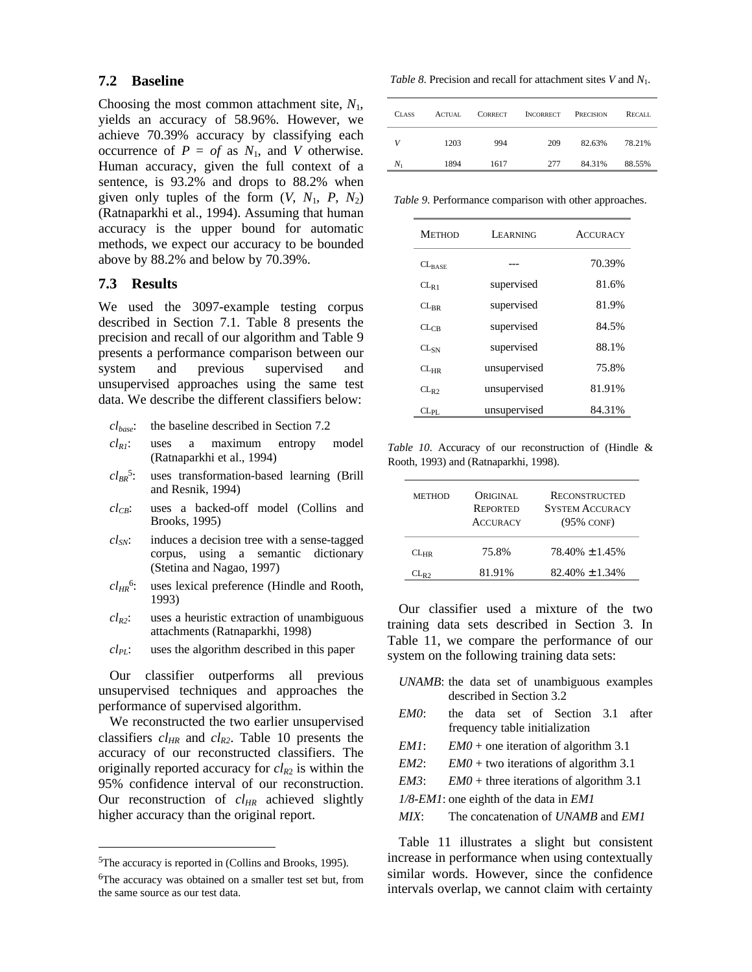#### **7.2 Baseline**

Choosing the most common attachment site, *N*1, yields an accuracy of 58.96%. However, we achieve 70.39% accuracy by classifying each occurrence of  $P = of$  as  $N_1$ , and *V* otherwise. Human accuracy, given the full context of a sentence, is 93.2% and drops to 88.2% when given only tuples of the form  $(V, N_1, P, N_2)$ (Ratnaparkhi et al., 1994). Assuming that human accuracy is the upper bound for automatic methods, we expect our accuracy to be bounded above by 88.2% and below by 70.39%.

# **7.3 Results**

We used the 3097-example testing corpus described in Section 7.1. Table 8 presents the precision and recall of our algorithm and Table 9 presents a performance comparison between our system and previous supervised and unsupervised approaches using the same test data. We describe the different classifiers below:

- *clbase*: the baseline described in Section 7.2
- *clR1*: uses a maximum entropy model (Ratnaparkhi et al., 1994)
- *clBR* 5 : uses transformation-based learning (Brill and Resnik, 1994)
- *clCB*: uses a backed-off model (Collins and Brooks, 1995)
- *clSN*: induces a decision tree with a sense-tagged corpus, using a semantic dictionary (Stetina and Nagao, 1997)
- *clHR* 6 uses lexical preference (Hindle and Rooth, 1993)
- $cl_{R2}$ : uses a heuristic extraction of unambiguous attachments (Ratnaparkhi, 1998)
- *clPL*: uses the algorithm described in this paper

Our classifier outperforms all previous unsupervised techniques and approaches the performance of supervised algorithm.

We reconstructed the two earlier unsupervised classifiers *clHR* and *clR2*. Table 10 presents the accuracy of our reconstructed classifiers. The originally reported accuracy for  $cl_{R2}$  is within the 95% confidence interval of our reconstruction. Our reconstruction of *clHR* achieved slightly higher accuracy than the original report.

<u>.</u>

*Table 8*. Precision and recall for attachment sites *V* and *N*1.

| <b>CLASS</b> | ACTUAL | <b>CORRECT</b> | <b>INCORRECT</b> | PRECISION | <b>RECALL</b> |
|--------------|--------|----------------|------------------|-----------|---------------|
| V            | 1203   | 994            | 209              | 82.63%    | 78.21%        |
| $N_1$        | 1894   | 1617           | 277              | 84.31%    | 88.55%        |

*Table 9*. Performance comparison with other approaches.

| <b>METHOD</b> | <b>LEARNING</b> | <b>ACCURACY</b> |
|---------------|-----------------|-----------------|
| $CL_{RASE}$   |                 | 70.39%          |
| $CL_{R1}$     | supervised      | 81.6%           |
| $CL_{RR}$     | supervised      | 81.9%           |
| $CL_{CR}$     | supervised      | 84.5%           |
| $CL_{SN}$     | supervised      | 88.1%           |
| $CL_{HR}$     | unsupervised    | 75.8%           |
| $CL_{R2}$     | unsupervised    | 81.91%          |
| $CL_{PI.}$    | unsupervised    | 84.31%          |

*Table 10*. Accuracy of our reconstruction of (Hindle & Rooth, 1993) and (Ratnaparkhi, 1998).

| <b>METHOD</b> | ORIGINAL<br><b>REPORTED</b><br><b>ACCURACY</b> | <b>RECONSTRUCTED</b><br><b>SYSTEM ACCURACY</b><br>$(95\% \text{ CONF})$ |
|---------------|------------------------------------------------|-------------------------------------------------------------------------|
| $CL_{HR}$     | 75.8%                                          | $78.40\% \pm 1.45\%$                                                    |
| $CL_{R2}$     | 81.91%                                         | $82.40\% \pm 1.34\%$                                                    |

Our classifier used a mixture of the two training data sets described in Section 3. In Table 11, we compare the performance of our system on the following training data sets:

- *UNAMB*: the data set of unambiguous examples described in Section 3.2
- *EM0*: the data set of Section 3.1 after frequency table initialization
- *EM1*: *EM0* + one iteration of algorithm 3.1
- *EM2*: *EM0* + two iterations of algorithm 3.1
- *EM3*: *EM0* + three iterations of algorithm 3.1

*1/8-EM1*: one eighth of the data in *EM1*

*MIX*: The concatenation of *UNAMB* and *EM1*

Table 11 illustrates a slight but consistent increase in performance when using contextually similar words. However, since the confidence intervals overlap, we cannot claim with certainty

<sup>5</sup>The accuracy is reported in (Collins and Brooks, 1995).

<sup>6</sup>The accuracy was obtained on a smaller test set but, from the same source as our test data.